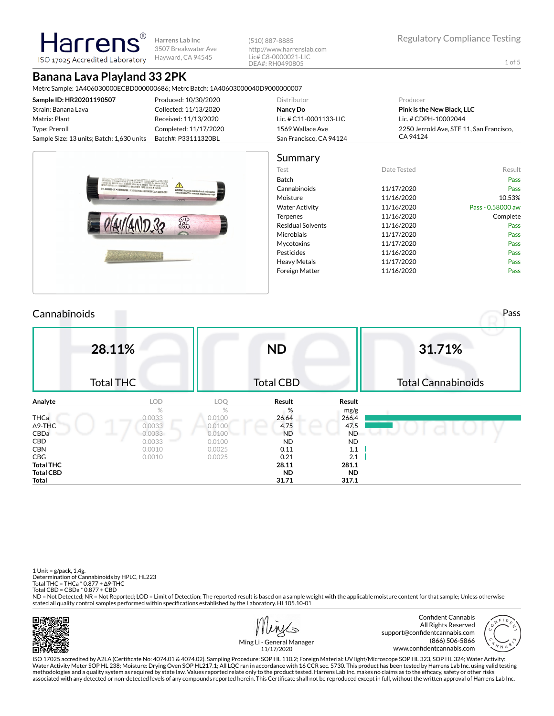**Harrens Lab Inc** 3507 Breakwater Ave Hayward, CA 94545

(510) 887-8885 http://www.harrenslab.com Lic# C8-0000021-LIC DEA#: RH0490805

# **Banana Lava Playland 33 2PK**

Harrer

ISO 17025 Accredited Laboratory

Metrc Sample: 1A406030000ECBD000000686; Metrc Batch: 1A40603000040D9000000007

| Produced: 10/30/2020                                             | Distributor             | Producer                                 |  |  |  |  |
|------------------------------------------------------------------|-------------------------|------------------------------------------|--|--|--|--|
| Collected: 11/13/2020                                            | Nancy Do                | Pink is the New Black, LLC               |  |  |  |  |
| Received: 11/13/2020                                             | Lic. # C11-0001133-LIC  | Lic. # CDPH-10002044                     |  |  |  |  |
| Completed: 11/17/2020                                            | 1569 Wallace Ave        | 2250 Jerrold Ave, STE 11, San Francisco, |  |  |  |  |
| Sample Size: 13 units; Batch: 1,630 units<br>Batch#: P33111320BL | San Francisco, CA 94124 | CA 94124                                 |  |  |  |  |
|                                                                  |                         |                                          |  |  |  |  |

|                                                                                                                                                                                                                                     | Summary                  |             |                   |
|-------------------------------------------------------------------------------------------------------------------------------------------------------------------------------------------------------------------------------------|--------------------------|-------------|-------------------|
|                                                                                                                                                                                                                                     | Test                     | Date Tested | Result            |
| ZAROGONOMI (KON GOVI OD MIRAN OV GODINANA AGRICANA AGRICANA DA MANJE PARA A PROGRAMA).<br>24 denombri - Po poden de Transa de Marsi en den en elisa de Portan es a barch da para a la provincia.<br>24 denombri - Porta Arichiel de | <b>Batch</b>             |             | Pass              |
| $\sqrt{2}$<br>C11-0000990-LIC = DISTRIBUTOR: IOCALS EQUITY DISTRIBUTION CONTACT: (888) 245-5016<br>WARNING: This product contains a chemical, manipular consider                                                                    | Cannabinoids             | 11/17/2020  | Pass              |
| known to the state of CA to cause concer, www.p05wannings.ca.per                                                                                                                                                                    | Moisture                 | 11/16/2020  | 10.53%            |
|                                                                                                                                                                                                                                     | <b>Water Activity</b>    | 11/16/2020  | Pass - 0.58000 aw |
|                                                                                                                                                                                                                                     | <b>Terpenes</b>          | 11/16/2020  | Complete          |
| 露                                                                                                                                                                                                                                   | <b>Residual Solvents</b> | 11/16/2020  | Pass              |
| <b>Survey</b>                                                                                                                                                                                                                       | Microbials               | 11/17/2020  | Pass              |
|                                                                                                                                                                                                                                     | Mycotoxins               | 11/17/2020  | Pass              |
|                                                                                                                                                                                                                                     | Pesticides               | 11/16/2020  | Pass              |
|                                                                                                                                                                                                                                     | <b>Heavy Metals</b>      | 11/17/2020  | Pass              |
|                                                                                                                                                                                                                                     | <b>Foreign Matter</b>    | 11/16/2020  | Pass              |
|                                                                                                                                                                                                                                     |                          |             |                   |

| Cannabinoids     |                  |        |                  |           | Pass                      |
|------------------|------------------|--------|------------------|-----------|---------------------------|
|                  | 28.11%           |        | <b>ND</b>        |           | 31.71%                    |
|                  | <b>Total THC</b> |        | <b>Total CBD</b> |           | <b>Total Cannabinoids</b> |
| Analyte          | <b>LOD</b>       | LOQ    | Result           | Result    |                           |
|                  | $\%$             | %      | %                | mg/g      |                           |
| THCa             | 0.0033           | 0.0100 | 26.64            | 266.4     |                           |
| $\Delta$ 9-THC   | 0.0033           | 0.0100 | 4.75             | 47.5      |                           |
| CBDa             | 0.0033           | 0.0100 | <b>ND</b>        | <b>ND</b> |                           |
| CBD              | 0.0033           | 0.0100 | <b>ND</b>        | ND.       |                           |
| <b>CBN</b>       | 0.0010           | 0.0025 | 0.11             | 1.1       |                           |
| CBG              | 0.0010           | 0.0025 | 0.21             | 2.1       |                           |
| <b>Total THC</b> |                  |        | 28.11            | 281.1     |                           |
| <b>Total CBD</b> |                  |        | <b>ND</b>        | ND.       |                           |
| Total            |                  |        | 31.71            | 317.1     |                           |

1 Unit = g/pack, 1.4g. Determination of Cannabinoids by HPLC, HL223 Total THC = THCa \* 0.877 + ∆9-THC Total CBD = CBDa \* 0.877 + CBD ND = Not Detected; NR = Not Reported; LOD = Limit of Detection; The reported result is based on a sample weight with the applicable moisture content for that sample; Unless otherwise stated all quality control samples performed within specifications established by the Laboratory. HL105.10-01

Confident Cannabis All Rights Reserved support@confidentcannabis.com (866) 506-5866 www.confidentcannabis.com



Ming Li - General Manager 11/17/2020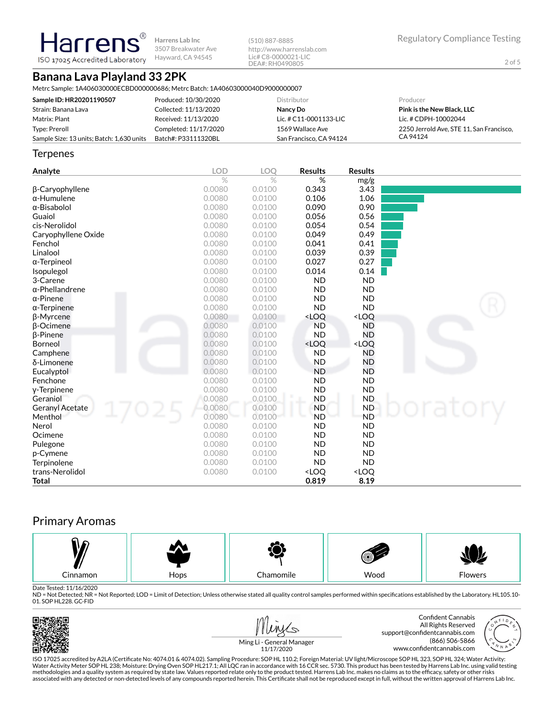**Harrens Lab Inc** 3507 Breakwater Ave Hayward, CA 94545

(510) 887-8885 http://www.harrenslab.com Lic# C8-0000021-LIC DEA#: RH0490805

# **Banana Lava Playland 33 2PK**

**Harrens** ISO 17025 Accredited Laboratory

Metrc Sample: 1A406030000ECBD000000686; Metrc Batch: 1A40603000040D9000000007

| Sample ID: HR20201190507                  | Produced: 10/30/2020  | Distributor             | Producer                                 |
|-------------------------------------------|-----------------------|-------------------------|------------------------------------------|
| Strain: Banana Lava                       | Collected: 11/13/2020 | Nancy Do                | <b>Pink is the New Black, LLC</b>        |
| Matrix: Plant                             | Received: 11/13/2020  | Lic. # C11-0001133-LIC  | Lic. # CDPH-10002044                     |
| Type: Preroll                             | Completed: 11/17/2020 | 1569 Wallace Ave        | 2250 Jerrold Ave. STE 11. San Francisco. |
| Sample Size: 13 units; Batch: 1,630 units | Batch#: P33111320BL   | San Francisco, CA 94124 | CA 94124                                 |

#### **Terpenes**

| Analyte                | <b>LOD</b>    | <b>LOO</b>    | <b>Results</b>                                           | <b>Results</b>               |       |
|------------------------|---------------|---------------|----------------------------------------------------------|------------------------------|-------|
|                        | $\frac{0}{0}$ | $\frac{0}{0}$ | %                                                        | mg/g                         |       |
| β-Caryophyllene        | 0.0080        | 0.0100        | 0.343                                                    | 3.43                         |       |
| $\alpha$ -Humulene     | 0.0080        | 0.0100        | 0.106                                                    | 1.06                         |       |
| $\alpha$ -Bisabolol    | 0.0080        | 0.0100        | 0.090                                                    | 0.90                         |       |
| Guaiol                 | 0.0080        | 0.0100        | 0.056                                                    | 0.56                         |       |
| cis-Nerolidol          | 0.0080        | 0.0100        | 0.054                                                    | 0.54                         |       |
| Caryophyllene Oxide    | 0.0080        | 0.0100        | 0.049                                                    | 0.49                         |       |
| Fenchol                | 0.0080        | 0.0100        | 0.041                                                    | 0.41                         |       |
| Linalool               | 0.0080        | 0.0100        | 0.039                                                    | 0.39                         |       |
| α-Terpineol            | 0.0080        | 0.0100        | 0.027                                                    | 0.27                         |       |
| Isopulegol             | 0.0080        | 0.0100        | 0.014                                                    | 0.14                         |       |
| 3-Carene               | 0.0080        | 0.0100        | <b>ND</b>                                                | <b>ND</b>                    |       |
| $\alpha$ -Phellandrene | 0.0080        | 0.0100        | <b>ND</b>                                                | <b>ND</b>                    |       |
| $\alpha$ -Pinene       | 0.0080        | 0.0100        | <b>ND</b>                                                | <b>ND</b>                    |       |
| $\alpha$ -Terpinene    | 0.0080        | 0.0100        | <b>ND</b>                                                | <b>ND</b>                    |       |
| <b>B-Myrcene</b>       | 0.0080        | 0.0100        | <loq< th=""><th><loq< th=""><th></th></loq<></th></loq<> | <loq< th=""><th></th></loq<> |       |
| <b>B-Ocimene</b>       | 0.0080        | 0.0100        | <b>ND</b>                                                | <b>ND</b>                    |       |
| β-Pinene               | 0.0080        | 0.0100        | <b>ND</b>                                                | <b>ND</b>                    |       |
| Borneol                | 0.0080        | 0.0100        | <loq< th=""><th><loq< th=""><th></th></loq<></th></loq<> | <loq< th=""><th></th></loq<> |       |
| Camphene               | 0.0080        | 0.0100        | <b>ND</b>                                                | ND                           |       |
| δ-Limonene             | 0.0080        | 0.0100        | <b>ND</b>                                                | <b>ND</b>                    |       |
| Eucalyptol             | 0.0080        | 0.0100        | <b>ND</b>                                                | <b>ND</b>                    |       |
| Fenchone               | 0.0080        | 0.0100        | <b>ND</b>                                                | <b>ND</b>                    |       |
| y-Terpinene            | 0.0080        | 0.0100        | <b>ND</b>                                                | <b>ND</b>                    |       |
| Geraniol               | 0.0080        | 0.0100        | <b>ND</b>                                                | <b>ND</b>                    |       |
| <b>Geranyl Acetate</b> | 0.0080        | 0.0100        | <b>ND</b>                                                | <b>ND</b>                    | atory |
| Menthol                | 0.0080        | 0.0100        | <b>ND</b>                                                | <b>ND</b>                    |       |
| Nerol                  | 0.0080        | 0.0100        | <b>ND</b>                                                | <b>ND</b>                    |       |
| Ocimene                | 0.0080        | 0.0100        | <b>ND</b>                                                | <b>ND</b>                    |       |
| Pulegone               | 0.0080        | 0.0100        | <b>ND</b>                                                | <b>ND</b>                    |       |
| p-Cymene               | 0.0080        | 0.0100        | <b>ND</b>                                                | <b>ND</b>                    |       |
| Terpinolene            | 0.0080        | 0.0100        | <b>ND</b>                                                | <b>ND</b>                    |       |
| trans-Nerolidol        | 0.0080        | 0.0100        | <loq< th=""><th><loq< th=""><th></th></loq<></th></loq<> | <loq< th=""><th></th></loq<> |       |
| <b>Total</b>           |               |               | 0.819                                                    | 8.19                         |       |

# Primary Aromas



Date Tested: 11/16/2020<br>ND = Not Detected; NR = Not Reported; LOD = Limit of Detection; Unless otherwise stated all quality control samples performed within specifications established by the Laboratory. HL105.10-01. SOP HL228. GC-FID



Confident Cannabis All Rights Reserved support@confidentcannabis.com (866) 506-5866 www.confidentcannabis.com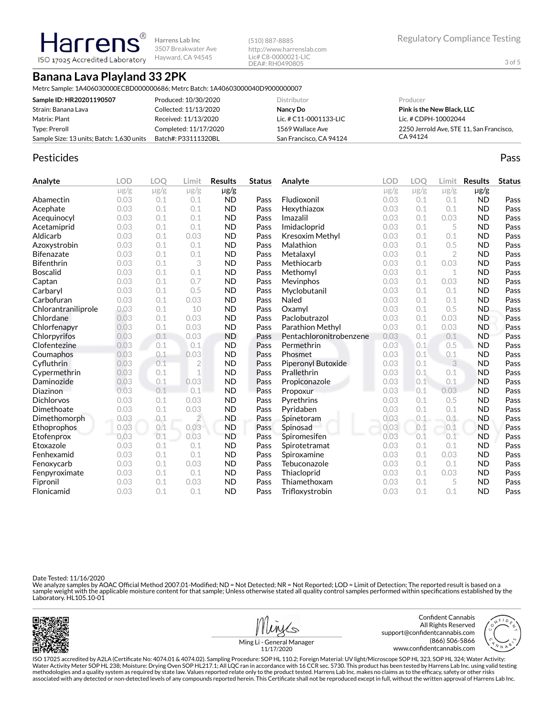**Harrens Lab Inc** 3507 Breakwater Ave Hayward, CA 94545

(510) 887-8885 http://www.harrenslab.com Lic# C8-0000021-LIC DEA#: RH0490805

# **Banana Lava Playland 33 2PK**

**Harrens** ISO 17025 Accredited Laboratory

Metrc Sample: 1A406030000ECBD000000686; Metrc Batch: 1A40603000040D9000000007

| Sample ID: HR20201190507                  | Produced: 10/30/2020  | Distributor              | Producer                                 |
|-------------------------------------------|-----------------------|--------------------------|------------------------------------------|
| Strain: Banana Lava                       | Collected: 11/13/2020 | Nancy Do                 | <b>Pink is the New Black, LLC</b>        |
| Matrix: Plant                             | Received: 11/13/2020  | Lic. # $C11-0001133-LLC$ | Lic. # CDPH-10002044                     |
| Type: Preroll                             | Completed: 11/17/2020 | 1569 Wallace Ave         | 2250 Jerrold Ave. STE 11. San Francisco. |
| Sample Size: 13 units; Batch: 1,630 units | Batch#: P33111320BL   | San Francisco, CA 94124  | CA 94124                                 |

#### Pesticides **Passage Community Community Community** Passes and the extension of the extension of the extension of the extension of the extension of the extension of the extension of the extension of the extension of the ext

| Analyte             | <b>LOD</b> | <b>LOO</b> | Limit          | <b>Results</b> | <b>Status</b> | Analyte                 | <b>LOD</b> | <b>LOO</b> | Limit          | <b>Results</b> | <b>Status</b> |
|---------------------|------------|------------|----------------|----------------|---------------|-------------------------|------------|------------|----------------|----------------|---------------|
|                     | $\mu$ g/g  | $\mu$ g/g  | $\mu$ g/g      | $\mu$ g/g      |               |                         | $\mu$ g/g  | $\mu$ g/g  | $\mu$ g/g      | $\mu$ g/g      |               |
| Abamectin           | 0.03       | 0.1        | 0.1            | <b>ND</b>      | Pass          | Fludioxonil             | 0.03       | 0.1        | 0.1            | <b>ND</b>      | Pass          |
| Acephate            | 0.03       | 0.1        | 0.1            | <b>ND</b>      | Pass          | Hexythiazox             | 0.03       | 0.1        | 0.1            | <b>ND</b>      | Pass          |
| Acequinocyl         | 0.03       | 0.1        | 0.1            | <b>ND</b>      | Pass          | Imazalil                | 0.03       | 0.1        | 0.03           | <b>ND</b>      | Pass          |
| Acetamiprid         | 0.03       | 0.1        | 0.1            | <b>ND</b>      | Pass          | Imidacloprid            | 0.03       | 0.1        | 5              | <b>ND</b>      | Pass          |
| Aldicarb            | 0.03       | 0.1        | 0.03           | <b>ND</b>      | Pass          | Kresoxim Methyl         | 0.03       | 0.1        | 0.1            | <b>ND</b>      | Pass          |
| Azoxystrobin        | 0.03       | 0.1        | 0.1            | <b>ND</b>      | Pass          | Malathion               | 0.03       | 0.1        | 0.5            | <b>ND</b>      | Pass          |
| <b>Bifenazate</b>   | 0.03       | 0.1        | 0.1            | <b>ND</b>      | Pass          | Metalaxyl               | 0.03       | 0.1        | $\overline{2}$ | <b>ND</b>      | Pass          |
| <b>Bifenthrin</b>   | 0.03       | 0.1        | 3              | <b>ND</b>      | Pass          | Methiocarb              | 0.03       | 0.1        | 0.03           | <b>ND</b>      | Pass          |
| <b>Boscalid</b>     | 0.03       | 0.1        | 0.1            | <b>ND</b>      | Pass          | Methomyl                | 0.03       | 0.1        | 1              | <b>ND</b>      | Pass          |
| Captan              | 0.03       | 0.1        | 0.7            | <b>ND</b>      | Pass          | Mevinphos               | 0.03       | 0.1        | 0.03           | <b>ND</b>      | Pass          |
| Carbaryl            | 0.03       | 0.1        | 0.5            | <b>ND</b>      | Pass          | Myclobutanil            | 0.03       | 0.1        | 0.1            | <b>ND</b>      | Pass          |
| Carbofuran          | 0.03       | 0.1        | 0.03           | <b>ND</b>      | Pass          | Naled                   | 0.03       | 0.1        | 0.1            | <b>ND</b>      | Pass          |
| Chlorantraniliprole | 0.03       | 0.1        | 10             | <b>ND</b>      | Pass          | Oxamyl                  | 0.03       | 0.1        | 0.5            | <b>ND</b>      | Pass          |
| Chlordane           | 0.03       | 0.1        | 0.03           | <b>ND</b>      | Pass          | Paclobutrazol           | 0.03       | 0.1        | 0.03           | <b>ND</b>      | Pass          |
| Chlorfenapyr        | 0.03       | 0.1        | 0.03           | <b>ND</b>      | Pass          | Parathion Methyl        | 0.03       | 0.1        | 0.03           | <b>ND</b>      | Pass          |
| Chlorpyrifos        | 0.03       | 0.1        | 0.03           | <b>ND</b>      | Pass          | Pentachloronitrobenzene | 0.03       | 0.1        | 0.1            | <b>ND</b>      | Pass          |
| Clofentezine        | 0.03       | 0.1        | 0.1            | <b>ND</b>      | Pass          | Permethrin              | 0.03       | 0.1        | 0.5            | <b>ND</b>      | Pass          |
| Coumaphos           | 0.03       | 0.1        | 0.03           | <b>ND</b>      | Pass          | Phosmet                 | 0.03       | 0.1        | 0.1            | <b>ND</b>      | Pass          |
| Cyfluthrin          | 0.03       | 0.1        | $\overline{2}$ | <b>ND</b>      | Pass          | Piperonyl Butoxide      | 0.03       | 0.1        | 3              | <b>ND</b>      | Pass          |
| Cypermethrin        | 0.03       | 0.1        | 1              | <b>ND</b>      | Pass          | Prallethrin             | 0.03       | 0.1        | 0.1            | <b>ND</b>      | Pass          |
| Daminozide          | 0.03       | 0.1        | 0.03           | <b>ND</b>      | Pass          | Propiconazole           | 0.03       | 0.1        | 0.1            | <b>ND</b>      | Pass          |
| Diazinon            | 0.03       | 0.1        | 0.1            | <b>ND</b>      | Pass          | Propoxur                | 0.03       | 0.1        | 0.03           | <b>ND</b>      | Pass          |
| <b>Dichlorvos</b>   | 0.03       | 0.1        | 0.03           | <b>ND</b>      | Pass          | Pyrethrins              | 0.03       | 0.1        | 0.5            | <b>ND</b>      | Pass          |
| Dimethoate          | 0.03       | 0.1        | 0.03           | <b>ND</b>      | Pass          | Pyridaben               | 0.03       | 0.1        | 0.1            | <b>ND</b>      | Pass          |
| Dimethomorph        | 0.03       | 0.1        | $\overline{2}$ | <b>ND</b>      | Pass          | Spinetoram              | 0.03       | 0.1        | 0.1            | <b>ND</b>      | Pass          |
| Ethoprophos         | 0.03       | 0.1        | 0.03           | <b>ND</b>      | Pass          | Spinosad                | 0.03       | 0.1        | 0.1            | <b>ND</b>      | Pass          |
| Etofenprox          | 0.03       | 0.1        | 0.03           | <b>ND</b>      | Pass          | Spiromesifen            | 0.03       | 0.1        | 0.1            | <b>ND</b>      | Pass          |
| Etoxazole           | 0.03       | 0.1        | 0.1            | <b>ND</b>      | Pass          | Spirotetramat           | 0.03       | 0.1        | 0.1            | <b>ND</b>      | Pass          |
| Fenhexamid          | 0.03       | 0.1        | 0.1            | <b>ND</b>      | Pass          | Spiroxamine             | 0.03       | 0.1        | 0.03           | <b>ND</b>      | Pass          |
| Fenoxycarb          | 0.03       | 0.1        | 0.03           | <b>ND</b>      | Pass          | Tebuconazole            | 0.03       | 0.1        | 0.1            | <b>ND</b>      | Pass          |
| Fenpyroximate       | 0.03       | 0.1        | 0.1            | <b>ND</b>      | Pass          | Thiacloprid             | 0.03       | 0.1        | 0.03           | <b>ND</b>      | Pass          |
| Fipronil            | 0.03       | 0.1        | 0.03           | <b>ND</b>      | Pass          | Thiamethoxam            | 0.03       | 0.1        | 5              | <b>ND</b>      | Pass          |
| Flonicamid          | 0.03       | 0.1        | 0.1            | <b>ND</b>      | Pass          | Trifloxystrobin         | 0.03       | 0.1        | 0.1            | <b>ND</b>      | Pass          |

Date Tested: 11/16/2020

We analyze samples by AOAC Official Method 2007.01-Modified; ND = Not Detected; NR = Not Reported; LOD = Limit of Detection; The reported result is based on a<br>sample weight with the applicable moisture content for that sam







Ming Li - General Manager 11/17/2020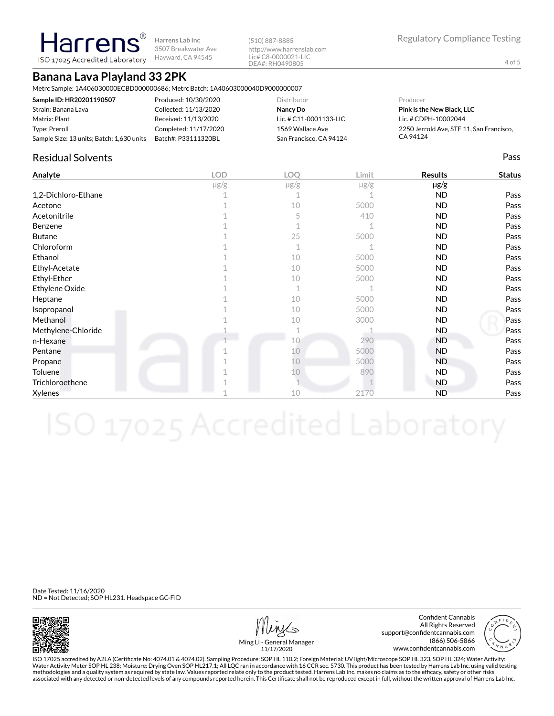**Harrens Lab Inc** 3507 Breakwater Ave ISO 17025 Accredited Laboratory Hayward, CA 94545

(510) 887-8885 http://www.harrenslab.com Lic# C8-0000021-LIC DEA#: RH0490805

# **Banana Lava Playland 33 2PK**

**Harrens** 

Metrc Sample: 1A406030000ECBD000000686; Metrc Batch: 1A40603000040D9000000007

| Sample ID: HR20201190507                  | Produced: 10/30/2020  | Distributor             | Producer                                 |
|-------------------------------------------|-----------------------|-------------------------|------------------------------------------|
| Strain: Banana Lava                       | Collected: 11/13/2020 | Nancy Do                | <b>Pink is the New Black, LLC</b>        |
| Matrix: Plant                             | Received: 11/13/2020  | Lic. # C11-0001133-LIC  | Lic. # CDPH-10002044                     |
| Type: Preroll                             | Completed: 11/17/2020 | 1569 Wallace Ave        | 2250 Jerrold Ave. STE 11. San Francisco. |
| Sample Size: 13 units; Batch: 1,630 units | Batch#: P33111320BL   | San Francisco, CA 94124 | CA 94124                                 |

#### Residual Solvents Pass

| Analyte             | <b>LOD</b> | LOQ       | Limit     | <b>Results</b> | <b>Status</b> |
|---------------------|------------|-----------|-----------|----------------|---------------|
|                     | $\mu$ g/g  | $\mu$ g/g | $\mu$ g/g | µg/g           |               |
| 1,2-Dichloro-Ethane |            |           |           | <b>ND</b>      | Pass          |
| Acetone             |            | 10        | 5000      | <b>ND</b>      | Pass          |
| Acetonitrile        |            | 5         | 410       | <b>ND</b>      | Pass          |
| Benzene             |            |           |           | <b>ND</b>      | Pass          |
| <b>Butane</b>       |            | 25        | 5000      | ND.            | Pass          |
| Chloroform          |            | 1         |           | <b>ND</b>      | Pass          |
| Ethanol             |            | 10        | 5000      | <b>ND</b>      | Pass          |
| Ethyl-Acetate       |            | 10        | 5000      | ND.            | Pass          |
| Ethyl-Ether         |            | 10        | 5000      | <b>ND</b>      | Pass          |
| Ethylene Oxide      |            | 1         |           | <b>ND</b>      | Pass          |
| Heptane             |            | 10        | 5000      | <b>ND</b>      | Pass          |
| Isopropanol         |            | 10        | 5000      | ND.            | Pass          |
| Methanol            |            | 10        | 3000      | ND.            | Pass          |
| Methylene-Chloride  |            |           |           | ND.            | Pass          |
| n-Hexane            |            | 10        | 290       | <b>ND</b>      | Pass          |
| Pentane             |            | 10        | 5000      | <b>ND</b>      | Pass          |
| Propane             |            | 10        | 5000      | <b>ND</b>      | Pass          |
| Toluene             |            | 10        | 890       | <b>ND</b>      | Pass          |
| Trichloroethene     |            |           |           | ND.            | Pass          |
| Xylenes             |            | 10        | 2170      | <b>ND</b>      | Pass          |

Date Tested: 11/16/2020 ND = Not Detected; SOP HL231. Headspace GC-FID



Confident Cannabis All Rights Reserved support@confidentcannabis.com (866) 506-5866 www.confidentcannabis.com



Ming Li - General Manager 11/17/2020